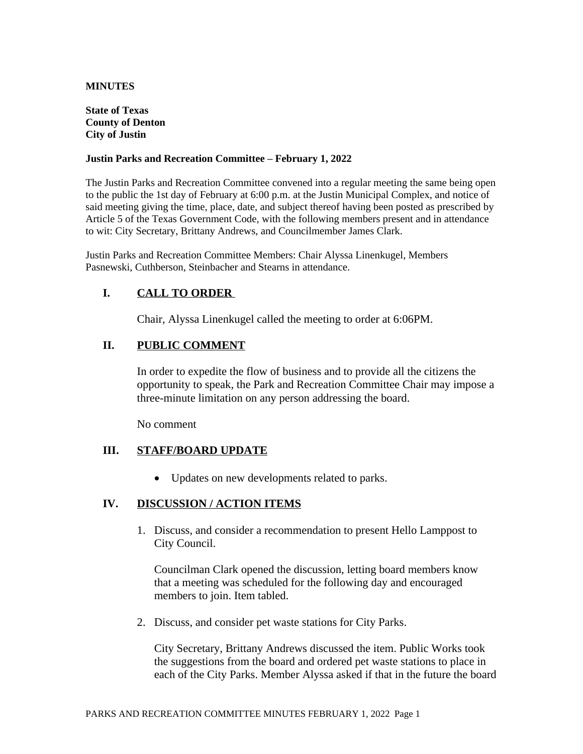#### **MINUTES**

#### **State of Texas County of Denton City of Justin**

#### **Justin Parks and Recreation Committee – February 1, 2022**

The Justin Parks and Recreation Committee convened into a regular meeting the same being open to the public the 1st day of February at 6:00 p.m. at the Justin Municipal Complex, and notice of said meeting giving the time, place, date, and subject thereof having been posted as prescribed by Article 5 of the Texas Government Code, with the following members present and in attendance to wit: City Secretary, Brittany Andrews, and Councilmember James Clark.

Justin Parks and Recreation Committee Members: Chair Alyssa Linenkugel, Members Pasnewski, Cuthberson, Steinbacher and Stearns in attendance.

# **I. CALL TO ORDER**

Chair, Alyssa Linenkugel called the meeting to order at 6:06PM.

# **II. PUBLIC COMMENT**

In order to expedite the flow of business and to provide all the citizens the opportunity to speak, the Park and Recreation Committee Chair may impose a three-minute limitation on any person addressing the board.

No comment

## **III. STAFF/BOARD UPDATE**

Updates on new developments related to parks.

## **IV. DISCUSSION / ACTION ITEMS**

1. Discuss, and consider a recommendation to present Hello Lamppost to City Council.

Councilman Clark opened the discussion, letting board members know that a meeting was scheduled for the following day and encouraged members to join. Item tabled.

2. Discuss, and consider pet waste stations for City Parks.

City Secretary, Brittany Andrews discussed the item. Public Works took the suggestions from the board and ordered pet waste stations to place in each of the City Parks. Member Alyssa asked if that in the future the board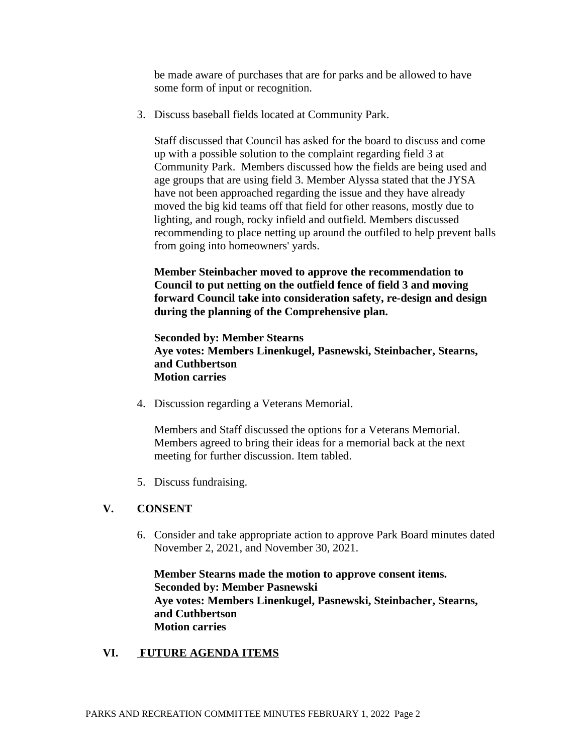be made aware of purchases that are for parks and be allowed to have some form of input or recognition.

3. Discuss baseball fields located at Community Park.

Staff discussed that Council has asked for the board to discuss and come up with a possible solution to the complaint regarding field 3 at Community Park. Members discussed how the fields are being used and age groups that are using field 3. Member Alyssa stated that the JYSA have not been approached regarding the issue and they have already moved the big kid teams off that field for other reasons, mostly due to lighting, and rough, rocky infield and outfield. Members discussed recommending to place netting up around the outfiled to help prevent balls from going into homeowners' yards.

# **Member Steinbacher moved to approve the recommendation to Council to put netting on the outfield fence of field 3 and moving forward Council take into consideration safety, re-design and design during the planning of the Comprehensive plan.**

**Seconded by: Member Stearns Aye votes: Members Linenkugel, Pasnewski, Steinbacher, Stearns, and Cuthbertson Motion carries**

4. Discussion regarding a Veterans Memorial.

Members and Staff discussed the options for a Veterans Memorial. Members agreed to bring their ideas for a memorial back at the next meeting for further discussion. Item tabled.

5. Discuss fundraising.

# **V. CONSENT**

6. Consider and take appropriate action to approve Park Board minutes dated November 2, 2021, and November 30, 2021.

**Member Stearns made the motion to approve consent items. Seconded by: Member Pasnewski Aye votes: Members Linenkugel, Pasnewski, Steinbacher, Stearns, and Cuthbertson Motion carries**

## **VI. FUTURE AGENDA ITEMS**